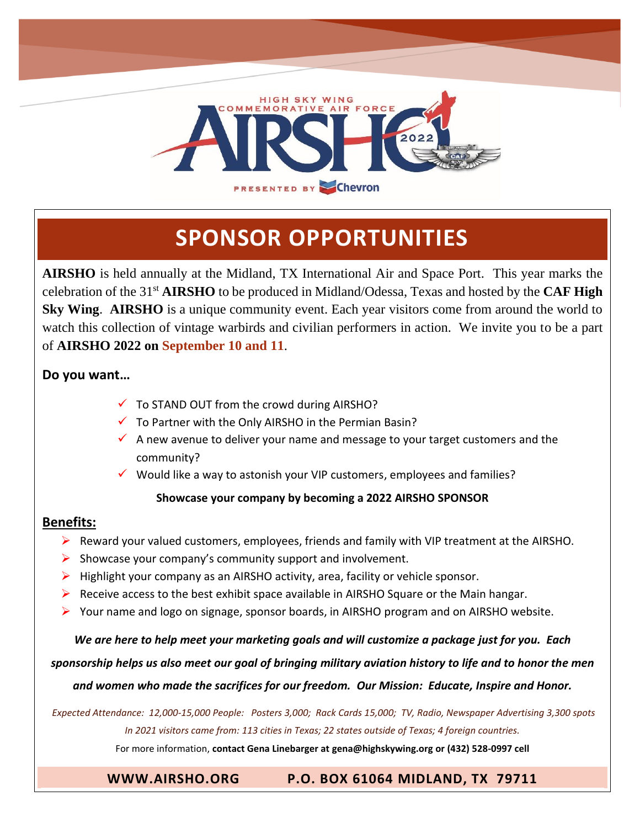

# **SPONSOR OPPORTUNITIES**

**AIRSHO** is held annually at the Midland, TX International Air and Space Port. This year marks the celebration of the 31<sup>st</sup> AIRSHO to be produced in Midland/Odessa, Texas and hosted by the CAF High **Sky Wing**. **AIRSHO** is a unique community event. Each year visitors come from around the world to watch this collection of vintage warbirds and civilian performers in action. We invite you to be a part of **AIRSHO 2022 on September 10 and 11**.

### **Do you want…**

- $\checkmark$  To STAND OUT from the crowd during AIRSHO?
- $\checkmark$  To Partner with the Only AIRSHO in the Permian Basin?
- $\checkmark$  A new avenue to deliver your name and message to your target customers and the community?
- ✓ Would like a way to astonish your VIP customers, employees and families?

#### **Showcase your company by becoming a 2022 AIRSHO SPONSOR**

### **Benefits:**

- ➢ Reward your valued customers, employees, friends and family with VIP treatment at the AIRSHO.
- $\triangleright$  Showcase your company's community support and involvement.
- $\triangleright$  Highlight your company as an AIRSHO activity, area, facility or vehicle sponsor.
- $\triangleright$  Receive access to the best exhibit space available in AIRSHO Square or the Main hangar.
- ➢ Your name and logo on signage, sponsor boards, in AIRSHO program and on AIRSHO website.

*We are here to help meet your marketing goals and will customize a package just for you. Each* 

*sponsorship helps us also meet our goal of bringing military aviation history to life and to honor the men* 

*and women who made the sacrifices for our freedom. Our Mission: Educate, Inspire and Honor.*

*Expected Attendance: 12,000-15,000 People: Posters 3,000; Rack Cards 15,000; TV, Radio, Newspaper Advertising 3,300 spots In 2021 visitors came from: 113 cities in Texas; 22 states outside of Texas; 4 foreign countries.*

For more information, **contact Gena Linebarger a[t gena@highskywing.org](mailto:gena@highskywing.org) or (432) 528-0997 cell**

### **[WWW.AIRSHO.ORG](http://www.airsho.org/) P.O. BOX 61064 MIDLAND, TX 79711**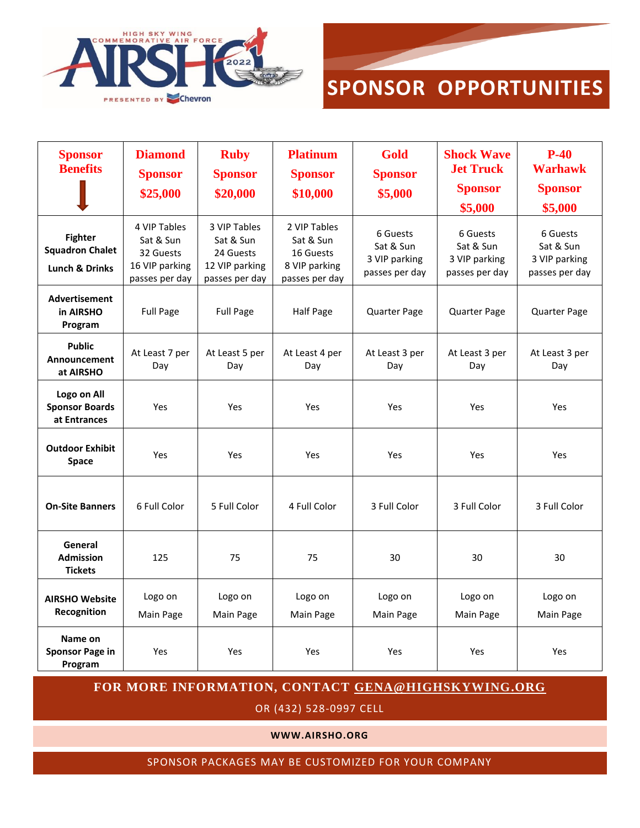



| <b>Sponsor</b><br><b>Benefits</b>                                     | <b>Diamond</b><br><b>Sponsor</b><br>\$25,000                               | <b>Ruby</b><br><b>Sponsor</b><br>\$20,000                                  | <b>Platinum</b><br><b>Sponsor</b><br>\$10,000                             | <b>Gold</b><br><b>Sponsor</b><br>\$5,000                 | <b>Shock Wave</b><br><b>Jet Truck</b><br><b>Sponsor</b><br>\$5,000 | $P-40$<br><b>Warhawk</b><br><b>Sponsor</b><br>\$5,000    |
|-----------------------------------------------------------------------|----------------------------------------------------------------------------|----------------------------------------------------------------------------|---------------------------------------------------------------------------|----------------------------------------------------------|--------------------------------------------------------------------|----------------------------------------------------------|
| <b>Fighter</b><br><b>Squadron Chalet</b><br><b>Lunch &amp; Drinks</b> | 4 VIP Tables<br>Sat & Sun<br>32 Guests<br>16 VIP parking<br>passes per day | 3 VIP Tables<br>Sat & Sun<br>24 Guests<br>12 VIP parking<br>passes per day | 2 VIP Tables<br>Sat & Sun<br>16 Guests<br>8 VIP parking<br>passes per day | 6 Guests<br>Sat & Sun<br>3 VIP parking<br>passes per day | 6 Guests<br>Sat & Sun<br>3 VIP parking<br>passes per day           | 6 Guests<br>Sat & Sun<br>3 VIP parking<br>passes per day |
| <b>Advertisement</b><br>in AIRSHO<br>Program                          | <b>Full Page</b>                                                           | <b>Full Page</b>                                                           | Half Page                                                                 | Quarter Page                                             | Quarter Page                                                       | Quarter Page                                             |
| <b>Public</b><br>Announcement<br>at AIRSHO                            | At Least 7 per<br>Day                                                      | At Least 5 per<br>Day                                                      | At Least 4 per<br>Day                                                     | At Least 3 per<br>Day                                    | At Least 3 per<br>Day                                              | At Least 3 per<br>Day                                    |
| Logo on All<br><b>Sponsor Boards</b><br>at Entrances                  | Yes                                                                        | Yes                                                                        | Yes                                                                       | Yes                                                      | Yes                                                                | Yes                                                      |
| <b>Outdoor Exhibit</b><br><b>Space</b>                                | Yes                                                                        | Yes                                                                        | Yes                                                                       | Yes                                                      | Yes                                                                | Yes                                                      |
| <b>On-Site Banners</b>                                                | 6 Full Color                                                               | 5 Full Color                                                               | 4 Full Color                                                              | 3 Full Color                                             | 3 Full Color                                                       | 3 Full Color                                             |
| General<br><b>Admission</b><br><b>Tickets</b>                         | 125                                                                        | 75                                                                         | 75                                                                        | 30                                                       | 30                                                                 | 30                                                       |
| <b>AIRSHO Website</b><br>Recognition                                  | Logo on<br>Main Page                                                       | Logo on<br>Main Page                                                       | Logo on<br>Main Page                                                      | Logo on<br>Main Page                                     | Logo on<br>Main Page                                               | Logo on<br>Main Page                                     |
| Name on<br><b>Sponsor Page in</b><br>Program                          | Yes                                                                        | Yes                                                                        | Yes                                                                       | Yes                                                      | Yes                                                                | Yes                                                      |

**FOR MORE INFORMATION, CONTACT [GENA@HIGHSKYWING.ORG](mailto:gena@highskywing.org)**

OR (432) 528-0997 CELL

**WWW.AIRSHO.ORG**

SPONSOR PACKAGES MAY BE CUSTOMIZED FOR YOUR COMPANY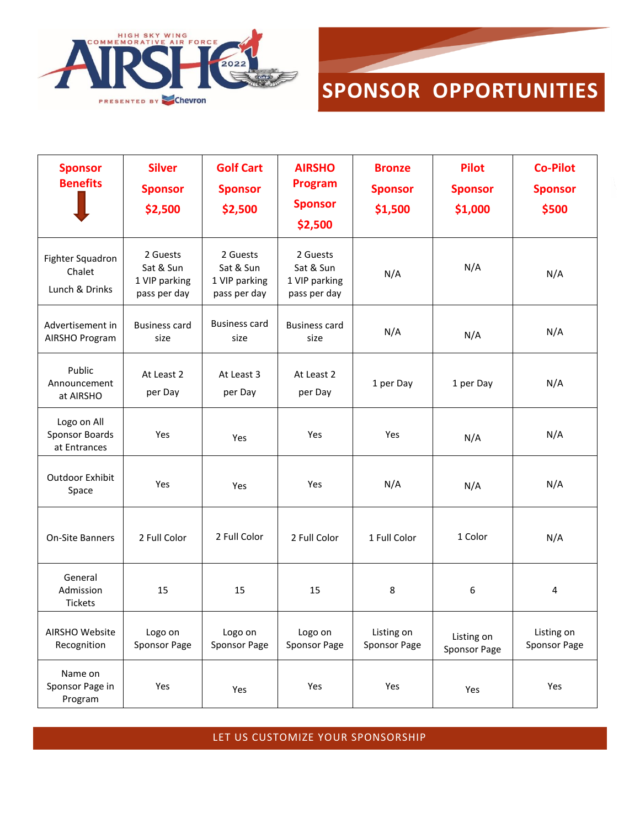



| <b>Sponsor</b><br><b>Benefits</b>                    | <b>Silver</b><br><b>Sponsor</b><br>\$2,500             | <b>Golf Cart</b><br><b>Sponsor</b><br>\$2,500          | <b>AIRSHO</b><br>Program<br><b>Sponsor</b><br>\$2,500  | <b>Bronze</b><br><b>Sponsor</b><br>\$1,500 | <b>Pilot</b><br><b>Sponsor</b><br>\$1,000 | <b>Co-Pilot</b><br><b>Sponsor</b><br>\$500 |
|------------------------------------------------------|--------------------------------------------------------|--------------------------------------------------------|--------------------------------------------------------|--------------------------------------------|-------------------------------------------|--------------------------------------------|
| Fighter Squadron<br>Chalet<br>Lunch & Drinks         | 2 Guests<br>Sat & Sun<br>1 VIP parking<br>pass per day | 2 Guests<br>Sat & Sun<br>1 VIP parking<br>pass per day | 2 Guests<br>Sat & Sun<br>1 VIP parking<br>pass per day | N/A                                        | N/A                                       | N/A                                        |
| Advertisement in<br>AIRSHO Program                   | <b>Business card</b><br>size                           | <b>Business card</b><br>size                           | <b>Business card</b><br>size                           | N/A                                        | N/A                                       | N/A                                        |
| Public<br>Announcement<br>at AIRSHO                  | At Least 2<br>per Day                                  | At Least 3<br>per Day                                  | At Least 2<br>per Day                                  | 1 per Day                                  | 1 per Day                                 | N/A                                        |
| Logo on All<br><b>Sponsor Boards</b><br>at Entrances | Yes                                                    | Yes                                                    | Yes                                                    | Yes                                        | N/A                                       | N/A                                        |
| Outdoor Exhibit<br>Space                             | Yes                                                    | Yes                                                    | Yes                                                    | N/A                                        | N/A                                       | N/A                                        |
| On-Site Banners                                      | 2 Full Color                                           | 2 Full Color                                           | 2 Full Color                                           | 1 Full Color                               | 1 Color                                   | N/A                                        |
| General<br>Admission<br>Tickets                      | 15                                                     | 15                                                     | 15                                                     | 8                                          | 6                                         | 4                                          |
| AIRSHO Website<br>Recognition                        | Logo on<br>Sponsor Page                                | Logo on<br>Sponsor Page                                | Logo on<br>Sponsor Page                                | Listing on<br>Sponsor Page                 | Listing on<br>Sponsor Page                | Listing on<br>Sponsor Page                 |
| Name on<br>Sponsor Page in<br>Program                | Yes                                                    | Yes                                                    | Yes                                                    | Yes                                        | Yes                                       | Yes                                        |

LET US CUSTOMIZE YOUR SPONSORSHIP